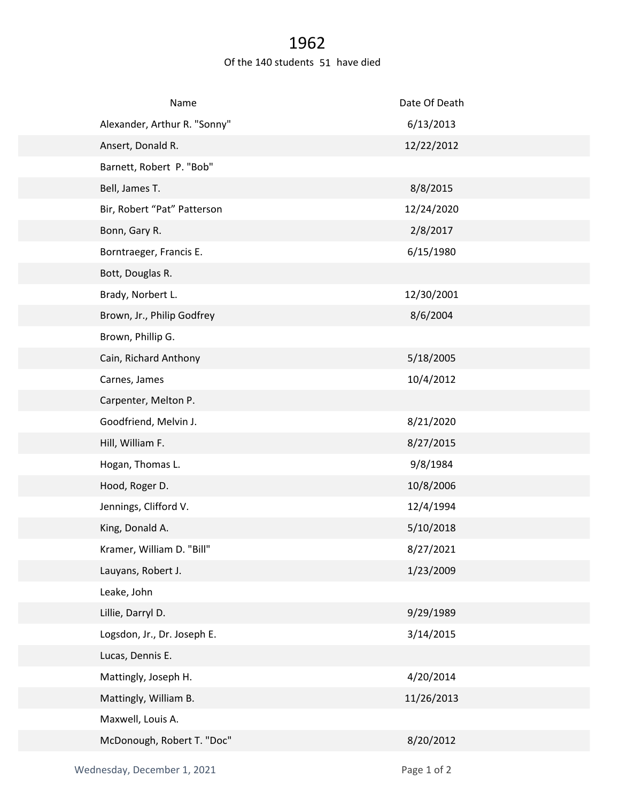## 1962

## Of the 140 students 51 have died

| Name                         | Date Of Death |
|------------------------------|---------------|
| Alexander, Arthur R. "Sonny" | 6/13/2013     |
| Ansert, Donald R.            | 12/22/2012    |
| Barnett, Robert P. "Bob"     |               |
| Bell, James T.               | 8/8/2015      |
| Bir, Robert "Pat" Patterson  | 12/24/2020    |
| Bonn, Gary R.                | 2/8/2017      |
| Borntraeger, Francis E.      | 6/15/1980     |
| Bott, Douglas R.             |               |
| Brady, Norbert L.            | 12/30/2001    |
| Brown, Jr., Philip Godfrey   | 8/6/2004      |
| Brown, Phillip G.            |               |
| Cain, Richard Anthony        | 5/18/2005     |
| Carnes, James                | 10/4/2012     |
| Carpenter, Melton P.         |               |
| Goodfriend, Melvin J.        | 8/21/2020     |
| Hill, William F.             | 8/27/2015     |
| Hogan, Thomas L.             | 9/8/1984      |
| Hood, Roger D.               | 10/8/2006     |
| Jennings, Clifford V.        | 12/4/1994     |
| King, Donald A.              | 5/10/2018     |
| Kramer, William D. "Bill"    | 8/27/2021     |
| Lauyans, Robert J.           | 1/23/2009     |
| Leake, John                  |               |
| Lillie, Darryl D.            | 9/29/1989     |
| Logsdon, Jr., Dr. Joseph E.  | 3/14/2015     |
| Lucas, Dennis E.             |               |
| Mattingly, Joseph H.         | 4/20/2014     |
| Mattingly, William B.        | 11/26/2013    |
| Maxwell, Louis A.            |               |
| McDonough, Robert T. "Doc"   | 8/20/2012     |
|                              |               |